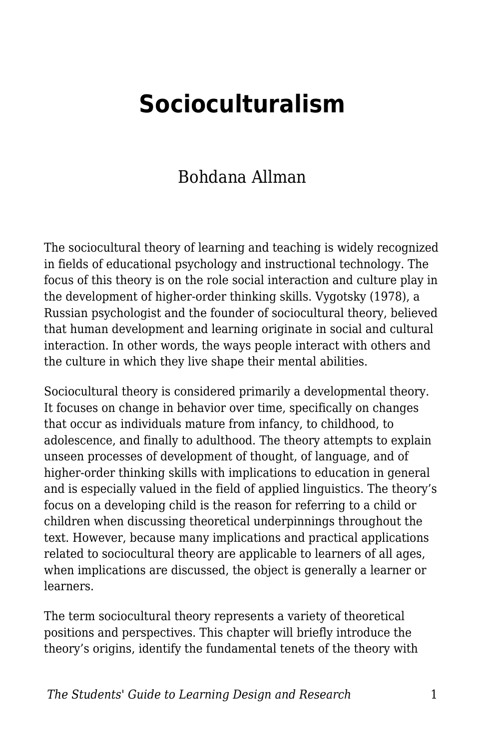# **Socioculturalism**

#### Bohdana Allman

The sociocultural theory of learning and teaching is widely recognized in fields of educational psychology and instructional technology. The focus of this theory is on the role social interaction and culture play in the development of higher-order thinking skills. Vygotsky (1978), a Russian psychologist and the founder of sociocultural theory, believed that human development and learning originate in social and cultural interaction. In other words, the ways people interact with others and the culture in which they live shape their mental abilities.

Sociocultural theory is considered primarily a developmental theory. It focuses on change in behavior over time, specifically on changes that occur as individuals mature from infancy, to childhood, to adolescence, and finally to adulthood. The theory attempts to explain unseen processes of development of thought, of language, and of higher-order thinking skills with implications to education in general and is especially valued in the field of applied linguistics. The theory's focus on a developing child is the reason for referring to a child or children when discussing theoretical underpinnings throughout the text. However, because many implications and practical applications related to sociocultural theory are applicable to learners of all ages, when implications are discussed, the object is generally a learner or learners.

The term sociocultural theory represents a variety of theoretical positions and perspectives. This chapter will briefly introduce the theory's origins, identify the fundamental tenets of the theory with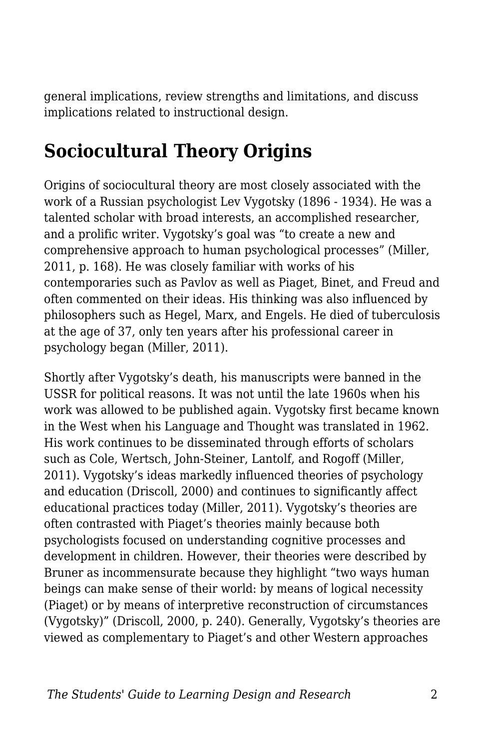general implications, review strengths and limitations, and discuss implications related to instructional design.

## **Sociocultural Theory Origins**

Origins of sociocultural theory are most closely associated with the work of a Russian psychologist Lev Vygotsky (1896 - 1934). He was a talented scholar with broad interests, an accomplished researcher, and a prolific writer. Vygotsky's goal was "to create a new and comprehensive approach to human psychological processes" (Miller, 2011, p. 168). He was closely familiar with works of his contemporaries such as Pavlov as well as Piaget, Binet, and Freud and often commented on their ideas. His thinking was also influenced by philosophers such as Hegel, Marx, and Engels. He died of tuberculosis at the age of 37, only ten years after his professional career in psychology began (Miller, 2011).

Shortly after Vygotsky's death, his manuscripts were banned in the USSR for political reasons. It was not until the late 1960s when his work was allowed to be published again. Vygotsky first became known in the West when his Language and Thought was translated in 1962. His work continues to be disseminated through efforts of scholars such as Cole, Wertsch, John-Steiner, Lantolf, and Rogoff (Miller, 2011). Vygotsky's ideas markedly influenced theories of psychology and education (Driscoll, 2000) and continues to significantly affect educational practices today (Miller, 2011). Vygotsky's theories are often contrasted with Piaget's theories mainly because both psychologists focused on understanding cognitive processes and development in children. However, their theories were described by Bruner as incommensurate because they highlight "two ways human beings can make sense of their world: by means of logical necessity (Piaget) or by means of interpretive reconstruction of circumstances (Vygotsky)" (Driscoll, 2000, p. 240). Generally, Vygotsky's theories are viewed as complementary to Piaget's and other Western approaches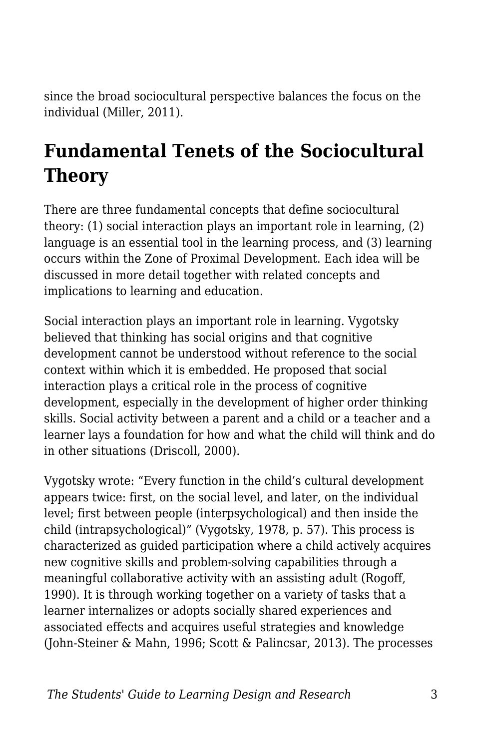since the broad sociocultural perspective balances the focus on the individual (Miller, 2011).

# **Fundamental Tenets of the Sociocultural Theory**

There are three fundamental concepts that define sociocultural theory: (1) social interaction plays an important role in learning, (2) language is an essential tool in the learning process, and (3) learning occurs within the Zone of Proximal Development. Each idea will be discussed in more detail together with related concepts and implications to learning and education.

Social interaction plays an important role in learning. Vygotsky believed that thinking has social origins and that cognitive development cannot be understood without reference to the social context within which it is embedded. He proposed that social interaction plays a critical role in the process of cognitive development, especially in the development of higher order thinking skills. Social activity between a parent and a child or a teacher and a learner lays a foundation for how and what the child will think and do in other situations (Driscoll, 2000).

Vygotsky wrote: "Every function in the child's cultural development appears twice: first, on the social level, and later, on the individual level; first between people (interpsychological) and then inside the child (intrapsychological)" (Vygotsky, 1978, p. 57). This process is characterized as guided participation where a child actively acquires new cognitive skills and problem-solving capabilities through a meaningful collaborative activity with an assisting adult (Rogoff, 1990). It is through working together on a variety of tasks that a learner internalizes or adopts socially shared experiences and associated effects and acquires useful strategies and knowledge (John-Steiner & Mahn, 1996; Scott & Palincsar, 2013). The processes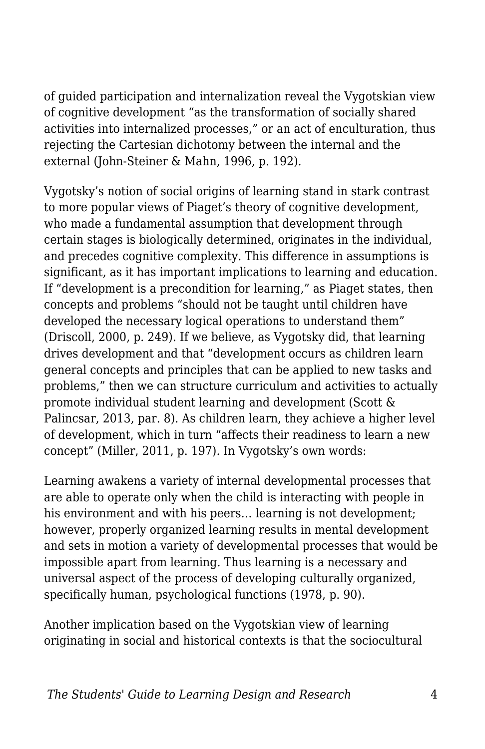of guided participation and internalization reveal the Vygotskian view of cognitive development "as the transformation of socially shared activities into internalized processes," or an act of enculturation, thus rejecting the Cartesian dichotomy between the internal and the external (John-Steiner & Mahn, 1996, p. 192).

Vygotsky's notion of social origins of learning stand in stark contrast to more popular views of Piaget's theory of cognitive development, who made a fundamental assumption that development through certain stages is biologically determined, originates in the individual, and precedes cognitive complexity. This difference in assumptions is significant, as it has important implications to learning and education. If "development is a precondition for learning," as Piaget states, then concepts and problems "should not be taught until children have developed the necessary logical operations to understand them" (Driscoll, 2000, p. 249). If we believe, as Vygotsky did, that learning drives development and that "development occurs as children learn general concepts and principles that can be applied to new tasks and problems," then we can structure curriculum and activities to actually promote individual student learning and development (Scott & Palincsar, 2013, par. 8). As children learn, they achieve a higher level of development, which in turn "affects their readiness to learn a new concept" (Miller, 2011, p. 197). In Vygotsky's own words:

Learning awakens a variety of internal developmental processes that are able to operate only when the child is interacting with people in his environment and with his peers... learning is not development; however, properly organized learning results in mental development and sets in motion a variety of developmental processes that would be impossible apart from learning. Thus learning is a necessary and universal aspect of the process of developing culturally organized, specifically human, psychological functions (1978, p. 90).

Another implication based on the Vygotskian view of learning originating in social and historical contexts is that the sociocultural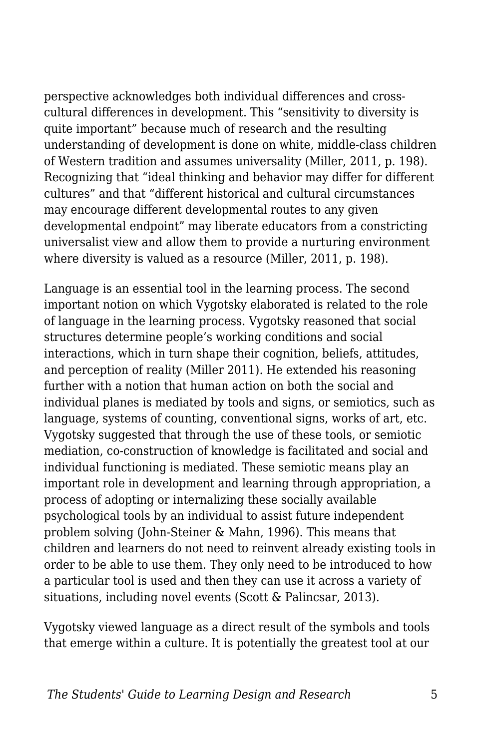perspective acknowledges both individual differences and crosscultural differences in development. This "sensitivity to diversity is quite important" because much of research and the resulting understanding of development is done on white, middle-class children of Western tradition and assumes universality (Miller, 2011, p. 198). Recognizing that "ideal thinking and behavior may differ for different cultures" and that "different historical and cultural circumstances may encourage different developmental routes to any given developmental endpoint" may liberate educators from a constricting universalist view and allow them to provide a nurturing environment where diversity is valued as a resource (Miller, 2011, p. 198).

Language is an essential tool in the learning process. The second important notion on which Vygotsky elaborated is related to the role of language in the learning process. Vygotsky reasoned that social structures determine people's working conditions and social interactions, which in turn shape their cognition, beliefs, attitudes, and perception of reality (Miller 2011). He extended his reasoning further with a notion that human action on both the social and individual planes is mediated by tools and signs, or semiotics, such as language, systems of counting, conventional signs, works of art, etc. Vygotsky suggested that through the use of these tools, or semiotic mediation, co-construction of knowledge is facilitated and social and individual functioning is mediated. These semiotic means play an important role in development and learning through appropriation, a process of adopting or internalizing these socially available psychological tools by an individual to assist future independent problem solving (John-Steiner & Mahn, 1996). This means that children and learners do not need to reinvent already existing tools in order to be able to use them. They only need to be introduced to how a particular tool is used and then they can use it across a variety of situations, including novel events (Scott & Palincsar, 2013).

Vygotsky viewed language as a direct result of the symbols and tools that emerge within a culture. It is potentially the greatest tool at our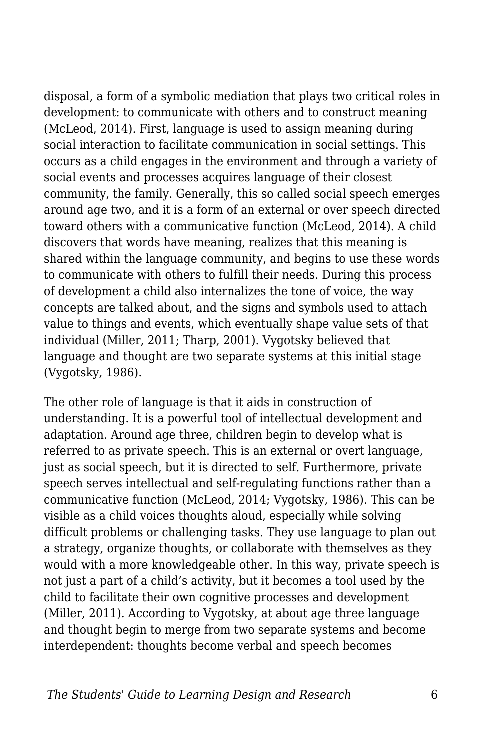disposal, a form of a symbolic mediation that plays two critical roles in development: to communicate with others and to construct meaning (McLeod, 2014). First, language is used to assign meaning during social interaction to facilitate communication in social settings. This occurs as a child engages in the environment and through a variety of social events and processes acquires language of their closest community, the family. Generally, this so called social speech emerges around age two, and it is a form of an external or over speech directed toward others with a communicative function (McLeod, 2014). A child discovers that words have meaning, realizes that this meaning is shared within the language community, and begins to use these words to communicate with others to fulfill their needs. During this process of development a child also internalizes the tone of voice, the way concepts are talked about, and the signs and symbols used to attach value to things and events, which eventually shape value sets of that individual (Miller, 2011; Tharp, 2001). Vygotsky believed that language and thought are two separate systems at this initial stage (Vygotsky, 1986).

The other role of language is that it aids in construction of understanding. It is a powerful tool of intellectual development and adaptation. Around age three, children begin to develop what is referred to as private speech. This is an external or overt language, just as social speech, but it is directed to self. Furthermore, private speech serves intellectual and self-regulating functions rather than a communicative function (McLeod, 2014; Vygotsky, 1986). This can be visible as a child voices thoughts aloud, especially while solving difficult problems or challenging tasks. They use language to plan out a strategy, organize thoughts, or collaborate with themselves as they would with a more knowledgeable other. In this way, private speech is not just a part of a child's activity, but it becomes a tool used by the child to facilitate their own cognitive processes and development (Miller, 2011). According to Vygotsky, at about age three language and thought begin to merge from two separate systems and become interdependent: thoughts become verbal and speech becomes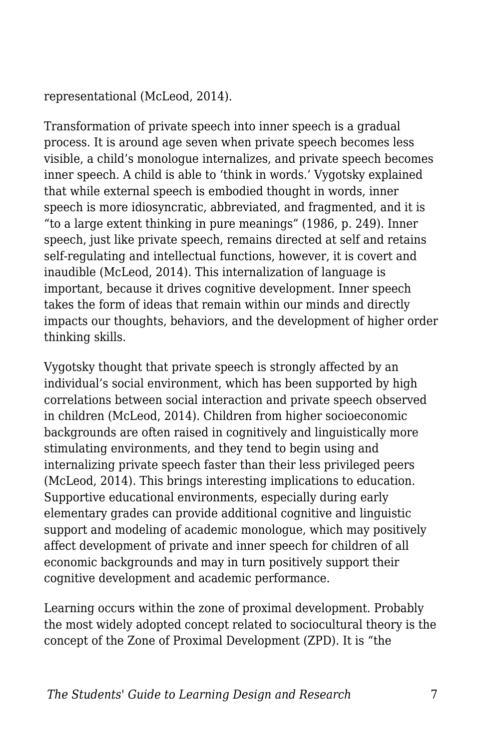representational (McLeod, 2014).

Transformation of private speech into inner speech is a gradual process. It is around age seven when private speech becomes less visible, a child's monologue internalizes, and private speech becomes inner speech. A child is able to 'think in words.' Vygotsky explained that while external speech is embodied thought in words, inner speech is more idiosyncratic, abbreviated, and fragmented, and it is "to a large extent thinking in pure meanings" (1986, p. 249). Inner speech, just like private speech, remains directed at self and retains self-regulating and intellectual functions, however, it is covert and inaudible (McLeod, 2014). This internalization of language is important, because it drives cognitive development. Inner speech takes the form of ideas that remain within our minds and directly impacts our thoughts, behaviors, and the development of higher order thinking skills.

Vygotsky thought that private speech is strongly affected by an individual's social environment, which has been supported by high correlations between social interaction and private speech observed in children (McLeod, 2014). Children from higher socioeconomic backgrounds are often raised in cognitively and linguistically more stimulating environments, and they tend to begin using and internalizing private speech faster than their less privileged peers (McLeod, 2014). This brings interesting implications to education. Supportive educational environments, especially during early elementary grades can provide additional cognitive and linguistic support and modeling of academic monologue, which may positively affect development of private and inner speech for children of all economic backgrounds and may in turn positively support their cognitive development and academic performance.

Learning occurs within the zone of proximal development. Probably the most widely adopted concept related to sociocultural theory is the concept of the Zone of Proximal Development (ZPD). It is "the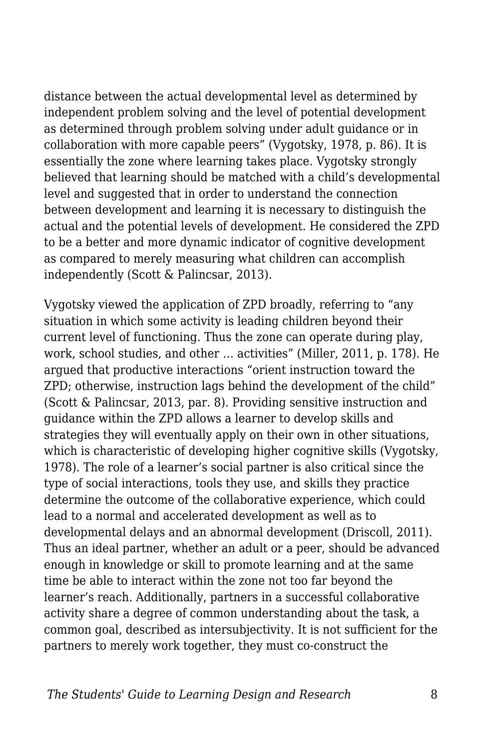distance between the actual developmental level as determined by independent problem solving and the level of potential development as determined through problem solving under adult guidance or in collaboration with more capable peers" (Vygotsky, 1978, p. 86). It is essentially the zone where learning takes place. Vygotsky strongly believed that learning should be matched with a child's developmental level and suggested that in order to understand the connection between development and learning it is necessary to distinguish the actual and the potential levels of development. He considered the ZPD to be a better and more dynamic indicator of cognitive development as compared to merely measuring what children can accomplish independently (Scott & Palincsar, 2013).

Vygotsky viewed the application of ZPD broadly, referring to "any situation in which some activity is leading children beyond their current level of functioning. Thus the zone can operate during play, work, school studies, and other … activities" (Miller, 2011, p. 178). He argued that productive interactions "orient instruction toward the ZPD; otherwise, instruction lags behind the development of the child" (Scott & Palincsar, 2013, par. 8). Providing sensitive instruction and guidance within the ZPD allows a learner to develop skills and strategies they will eventually apply on their own in other situations, which is characteristic of developing higher cognitive skills (Vygotsky, 1978). The role of a learner's social partner is also critical since the type of social interactions, tools they use, and skills they practice determine the outcome of the collaborative experience, which could lead to a normal and accelerated development as well as to developmental delays and an abnormal development (Driscoll, 2011). Thus an ideal partner, whether an adult or a peer, should be advanced enough in knowledge or skill to promote learning and at the same time be able to interact within the zone not too far beyond the learner's reach. Additionally, partners in a successful collaborative activity share a degree of common understanding about the task, a common goal, described as intersubjectivity. It is not sufficient for the partners to merely work together, they must co-construct the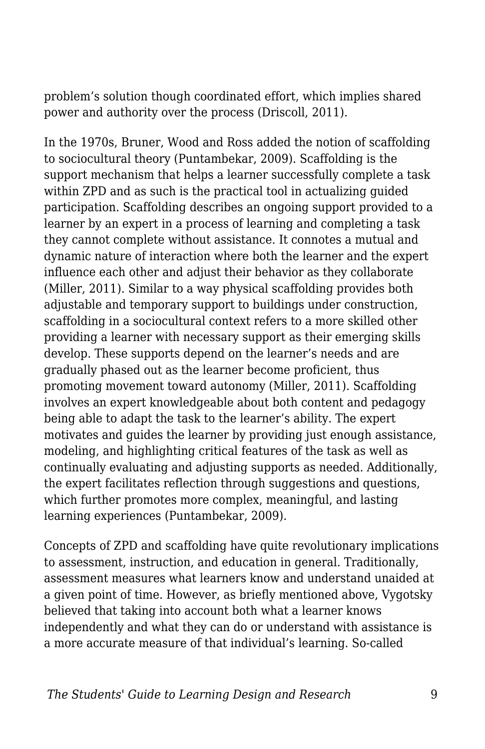problem's solution though coordinated effort, which implies shared power and authority over the process (Driscoll, 2011).

In the 1970s, Bruner, Wood and Ross added the notion of scaffolding to sociocultural theory (Puntambekar, 2009). Scaffolding is the support mechanism that helps a learner successfully complete a task within ZPD and as such is the practical tool in actualizing guided participation. Scaffolding describes an ongoing support provided to a learner by an expert in a process of learning and completing a task they cannot complete without assistance. It connotes a mutual and dynamic nature of interaction where both the learner and the expert influence each other and adjust their behavior as they collaborate (Miller, 2011). Similar to a way physical scaffolding provides both adjustable and temporary support to buildings under construction, scaffolding in a sociocultural context refers to a more skilled other providing a learner with necessary support as their emerging skills develop. These supports depend on the learner's needs and are gradually phased out as the learner become proficient, thus promoting movement toward autonomy (Miller, 2011). Scaffolding involves an expert knowledgeable about both content and pedagogy being able to adapt the task to the learner's ability. The expert motivates and guides the learner by providing just enough assistance, modeling, and highlighting critical features of the task as well as continually evaluating and adjusting supports as needed. Additionally, the expert facilitates reflection through suggestions and questions, which further promotes more complex, meaningful, and lasting learning experiences (Puntambekar, 2009).

Concepts of ZPD and scaffolding have quite revolutionary implications to assessment, instruction, and education in general. Traditionally, assessment measures what learners know and understand unaided at a given point of time. However, as briefly mentioned above, Vygotsky believed that taking into account both what a learner knows independently and what they can do or understand with assistance is a more accurate measure of that individual's learning. So-called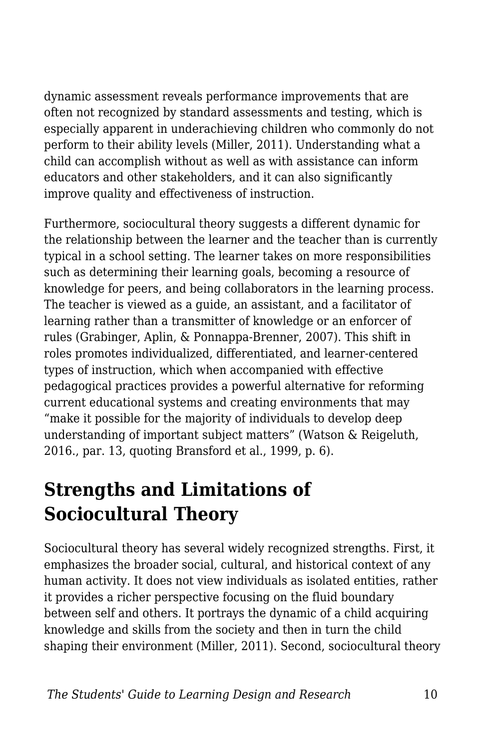dynamic assessment reveals performance improvements that are often not recognized by standard assessments and testing, which is especially apparent in underachieving children who commonly do not perform to their ability levels (Miller, 2011). Understanding what a child can accomplish without as well as with assistance can inform educators and other stakeholders, and it can also significantly improve quality and effectiveness of instruction.

Furthermore, sociocultural theory suggests a different dynamic for the relationship between the learner and the teacher than is currently typical in a school setting. The learner takes on more responsibilities such as determining their learning goals, becoming a resource of knowledge for peers, and being collaborators in the learning process. The teacher is viewed as a guide, an assistant, and a facilitator of learning rather than a transmitter of knowledge or an enforcer of rules (Grabinger, Aplin, & Ponnappa-Brenner, 2007). This shift in roles promotes individualized, differentiated, and learner-centered types of instruction, which when accompanied with effective pedagogical practices provides a powerful alternative for reforming current educational systems and creating environments that may "make it possible for the majority of individuals to develop deep understanding of important subject matters" (Watson & Reigeluth, 2016., par. 13, quoting Bransford et al., 1999, p. 6).

### **Strengths and Limitations of Sociocultural Theory**

Sociocultural theory has several widely recognized strengths. First, it emphasizes the broader social, cultural, and historical context of any human activity. It does not view individuals as isolated entities, rather it provides a richer perspective focusing on the fluid boundary between self and others. It portrays the dynamic of a child acquiring knowledge and skills from the society and then in turn the child shaping their environment (Miller, 2011). Second, sociocultural theory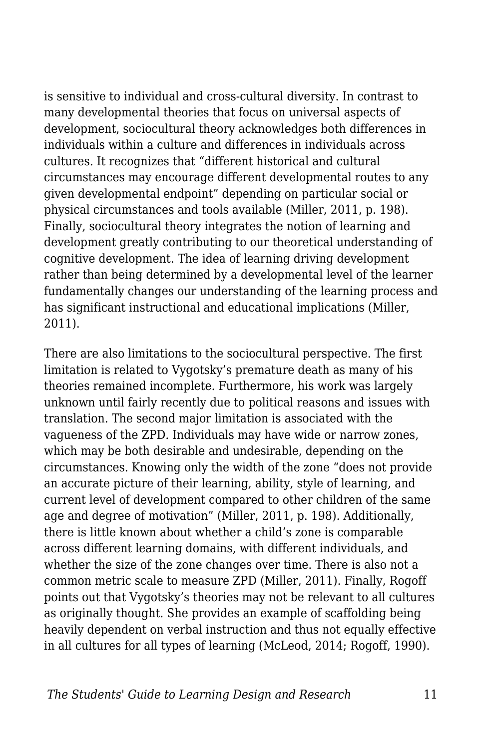is sensitive to individual and cross-cultural diversity. In contrast to many developmental theories that focus on universal aspects of development, sociocultural theory acknowledges both differences in individuals within a culture and differences in individuals across cultures. It recognizes that "different historical and cultural circumstances may encourage different developmental routes to any given developmental endpoint" depending on particular social or physical circumstances and tools available (Miller, 2011, p. 198). Finally, sociocultural theory integrates the notion of learning and development greatly contributing to our theoretical understanding of cognitive development. The idea of learning driving development rather than being determined by a developmental level of the learner fundamentally changes our understanding of the learning process and has significant instructional and educational implications (Miller, 2011).

There are also limitations to the sociocultural perspective. The first limitation is related to Vygotsky's premature death as many of his theories remained incomplete. Furthermore, his work was largely unknown until fairly recently due to political reasons and issues with translation. The second major limitation is associated with the vagueness of the ZPD. Individuals may have wide or narrow zones, which may be both desirable and undesirable, depending on the circumstances. Knowing only the width of the zone "does not provide an accurate picture of their learning, ability, style of learning, and current level of development compared to other children of the same age and degree of motivation" (Miller, 2011, p. 198). Additionally, there is little known about whether a child's zone is comparable across different learning domains, with different individuals, and whether the size of the zone changes over time. There is also not a common metric scale to measure ZPD (Miller, 2011). Finally, Rogoff points out that Vygotsky's theories may not be relevant to all cultures as originally thought. She provides an example of scaffolding being heavily dependent on verbal instruction and thus not equally effective in all cultures for all types of learning (McLeod, 2014; Rogoff, 1990).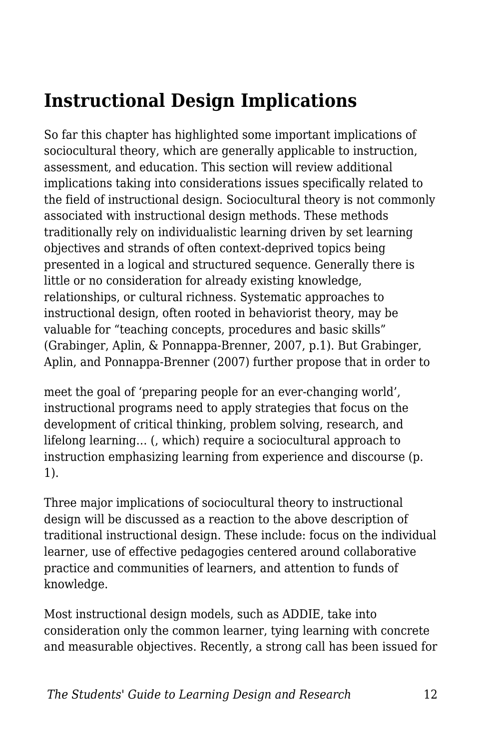## **Instructional Design Implications**

So far this chapter has highlighted some important implications of sociocultural theory, which are generally applicable to instruction, assessment, and education. This section will review additional implications taking into considerations issues specifically related to the field of instructional design. Sociocultural theory is not commonly associated with instructional design methods. These methods traditionally rely on individualistic learning driven by set learning objectives and strands of often context-deprived topics being presented in a logical and structured sequence. Generally there is little or no consideration for already existing knowledge, relationships, or cultural richness. Systematic approaches to instructional design, often rooted in behaviorist theory, may be valuable for "teaching concepts, procedures and basic skills" (Grabinger, Aplin, & Ponnappa-Brenner, 2007, p.1). But Grabinger, Aplin, and Ponnappa-Brenner (2007) further propose that in order to

meet the goal of 'preparing people for an ever-changing world', instructional programs need to apply strategies that focus on the development of critical thinking, problem solving, research, and lifelong learning… (, which) require a sociocultural approach to instruction emphasizing learning from experience and discourse (p. 1).

Three major implications of sociocultural theory to instructional design will be discussed as a reaction to the above description of traditional instructional design. These include: focus on the individual learner, use of effective pedagogies centered around collaborative practice and communities of learners, and attention to funds of knowledge.

Most instructional design models, such as ADDIE, take into consideration only the common learner, tying learning with concrete and measurable objectives. Recently, a strong call has been issued for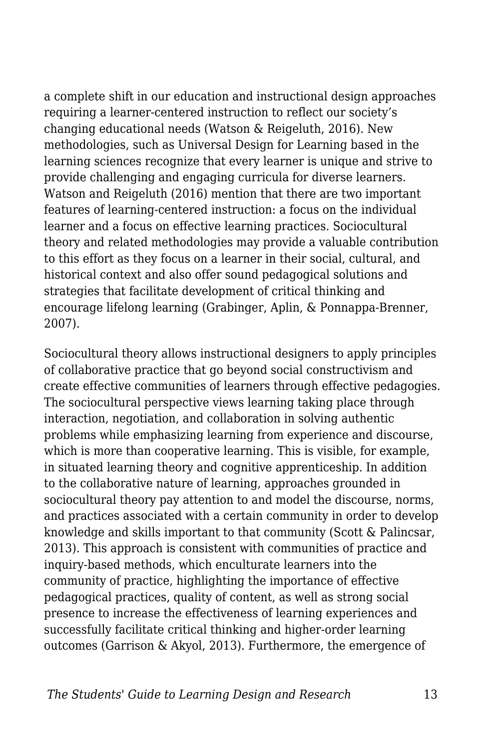a complete shift in our education and instructional design approaches requiring a learner-centered instruction to reflect our society's changing educational needs (Watson & Reigeluth, 2016). New methodologies, such as Universal Design for Learning based in the learning sciences recognize that every learner is unique and strive to provide challenging and engaging curricula for diverse learners. Watson and Reigeluth (2016) mention that there are two important features of learning-centered instruction: a focus on the individual learner and a focus on effective learning practices. Sociocultural theory and related methodologies may provide a valuable contribution to this effort as they focus on a learner in their social, cultural, and historical context and also offer sound pedagogical solutions and strategies that facilitate development of critical thinking and encourage lifelong learning (Grabinger, Aplin, & Ponnappa-Brenner, 2007).

Sociocultural theory allows instructional designers to apply principles of collaborative practice that go beyond social constructivism and create effective communities of learners through effective pedagogies. The sociocultural perspective views learning taking place through interaction, negotiation, and collaboration in solving authentic problems while emphasizing learning from experience and discourse, which is more than cooperative learning. This is visible, for example, in situated learning theory and cognitive apprenticeship. In addition to the collaborative nature of learning, approaches grounded in sociocultural theory pay attention to and model the discourse, norms, and practices associated with a certain community in order to develop knowledge and skills important to that community (Scott & Palincsar, 2013). This approach is consistent with communities of practice and inquiry-based methods, which enculturate learners into the community of practice, highlighting the importance of effective pedagogical practices, quality of content, as well as strong social presence to increase the effectiveness of learning experiences and successfully facilitate critical thinking and higher-order learning outcomes (Garrison & Akyol, 2013). Furthermore, the emergence of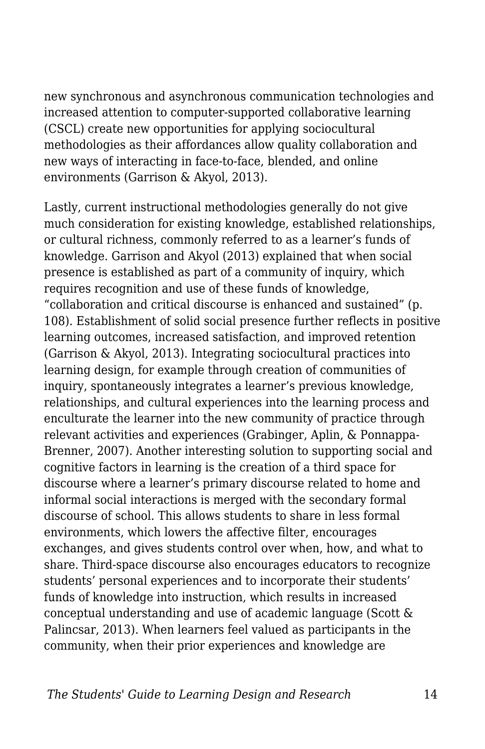new synchronous and asynchronous communication technologies and increased attention to computer-supported collaborative learning (CSCL) create new opportunities for applying sociocultural methodologies as their affordances allow quality collaboration and new ways of interacting in face-to-face, blended, and online environments (Garrison & Akyol, 2013).

Lastly, current instructional methodologies generally do not give much consideration for existing knowledge, established relationships, or cultural richness, commonly referred to as a learner's funds of knowledge. Garrison and Akyol (2013) explained that when social presence is established as part of a community of inquiry, which requires recognition and use of these funds of knowledge, "collaboration and critical discourse is enhanced and sustained" (p. 108). Establishment of solid social presence further reflects in positive learning outcomes, increased satisfaction, and improved retention (Garrison & Akyol, 2013). Integrating sociocultural practices into learning design, for example through creation of communities of inquiry, spontaneously integrates a learner's previous knowledge, relationships, and cultural experiences into the learning process and enculturate the learner into the new community of practice through relevant activities and experiences (Grabinger, Aplin, & Ponnappa-Brenner, 2007). Another interesting solution to supporting social and cognitive factors in learning is the creation of a third space for discourse where a learner's primary discourse related to home and informal social interactions is merged with the secondary formal discourse of school. This allows students to share in less formal environments, which lowers the affective filter, encourages exchanges, and gives students control over when, how, and what to share. Third-space discourse also encourages educators to recognize students' personal experiences and to incorporate their students' funds of knowledge into instruction, which results in increased conceptual understanding and use of academic language (Scott & Palincsar, 2013). When learners feel valued as participants in the community, when their prior experiences and knowledge are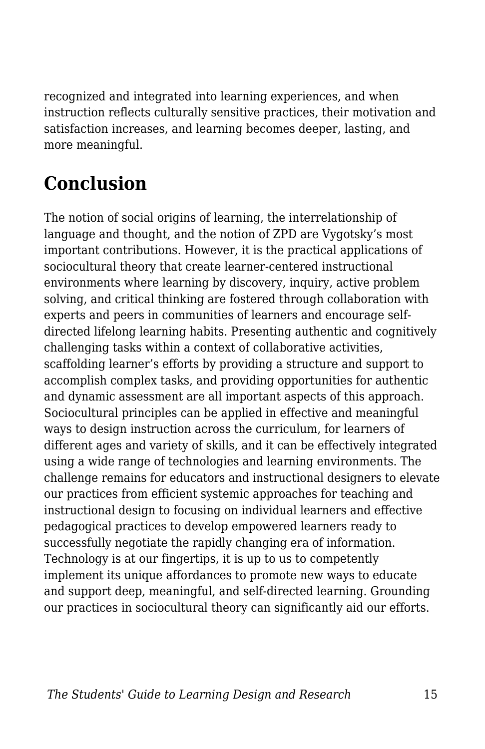recognized and integrated into learning experiences, and when instruction reflects culturally sensitive practices, their motivation and satisfaction increases, and learning becomes deeper, lasting, and more meaningful.

# **Conclusion**

The notion of social origins of learning, the interrelationship of language and thought, and the notion of ZPD are Vygotsky's most important contributions. However, it is the practical applications of sociocultural theory that create learner-centered instructional environments where learning by discovery, inquiry, active problem solving, and critical thinking are fostered through collaboration with experts and peers in communities of learners and encourage selfdirected lifelong learning habits. Presenting authentic and cognitively challenging tasks within a context of collaborative activities, scaffolding learner's efforts by providing a structure and support to accomplish complex tasks, and providing opportunities for authentic and dynamic assessment are all important aspects of this approach. Sociocultural principles can be applied in effective and meaningful ways to design instruction across the curriculum, for learners of different ages and variety of skills, and it can be effectively integrated using a wide range of technologies and learning environments. The challenge remains for educators and instructional designers to elevate our practices from efficient systemic approaches for teaching and instructional design to focusing on individual learners and effective pedagogical practices to develop empowered learners ready to successfully negotiate the rapidly changing era of information. Technology is at our fingertips, it is up to us to competently implement its unique affordances to promote new ways to educate and support deep, meaningful, and self-directed learning. Grounding our practices in sociocultural theory can significantly aid our efforts.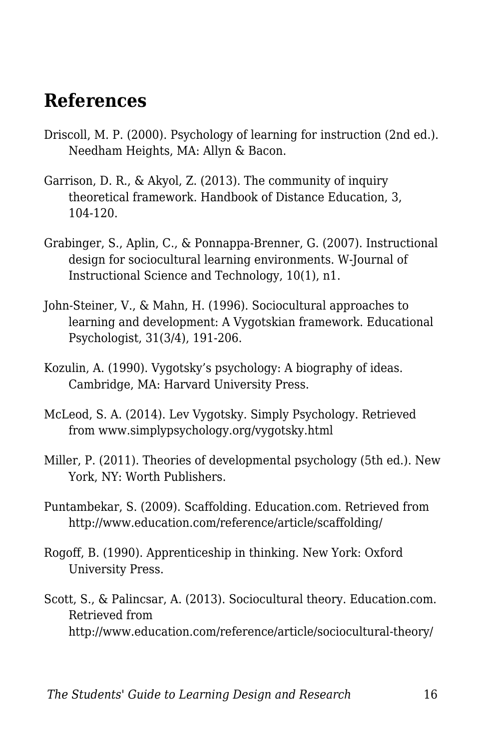#### **References**

- Driscoll, M. P. (2000). Psychology of learning for instruction (2nd ed.). Needham Heights, MA: Allyn & Bacon.
- Garrison, D. R., & Akyol, Z. (2013). The community of inquiry theoretical framework. Handbook of Distance Education, 3, 104-120.
- Grabinger, S., Aplin, C., & Ponnappa-Brenner, G. (2007). Instructional design for sociocultural learning environments. W-Journal of Instructional Science and Technology, 10(1), n1.
- John-Steiner, V., & Mahn, H. (1996). Sociocultural approaches to learning and development: A Vygotskian framework. Educational Psychologist, 31(3/4), 191-206.
- Kozulin, A. (1990). Vygotsky's psychology: A biography of ideas. Cambridge, MA: Harvard University Press.
- McLeod, S. A. (2014). Lev Vygotsky. Simply Psychology. Retrieved from www.simplypsychology.org/vygotsky.html
- Miller, P. (2011). Theories of developmental psychology (5th ed.). New York, NY: Worth Publishers.
- Puntambekar, S. (2009). Scaffolding. Education.com. Retrieved from http://www.education.com/reference/article/scaffolding/
- Rogoff, B. (1990). Apprenticeship in thinking. New York: Oxford University Press.
- Scott, S., & Palincsar, A. (2013). Sociocultural theory. Education.com. Retrieved from http://www.education.com/reference/article/sociocultural-theory/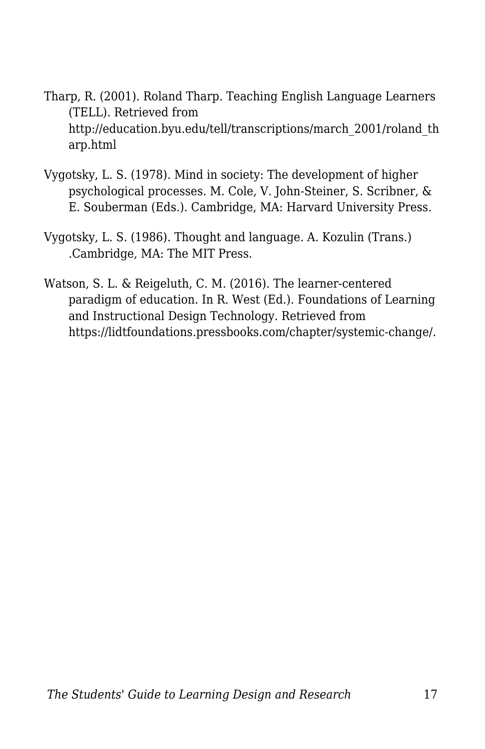- Tharp, R. (2001). Roland Tharp. Teaching English Language Learners (TELL). Retrieved from http://education.byu.edu/tell/transcriptions/march\_2001/roland\_th arp.html
- Vygotsky, L. S. (1978). Mind in society: The development of higher psychological processes. M. Cole, V. John-Steiner, S. Scribner, & E. Souberman (Eds.). Cambridge, MA: Harvard University Press.
- Vygotsky, L. S. (1986). Thought and language. A. Kozulin (Trans.) .Cambridge, MA: The MIT Press.
- Watson, S. L. & Reigeluth, C. M. (2016). The learner-centered paradigm of education. In R. West (Ed.). Foundations of Learning and Instructional Design Technology. Retrieved from https://lidtfoundations.pressbooks.com/chapter/systemic-change/.